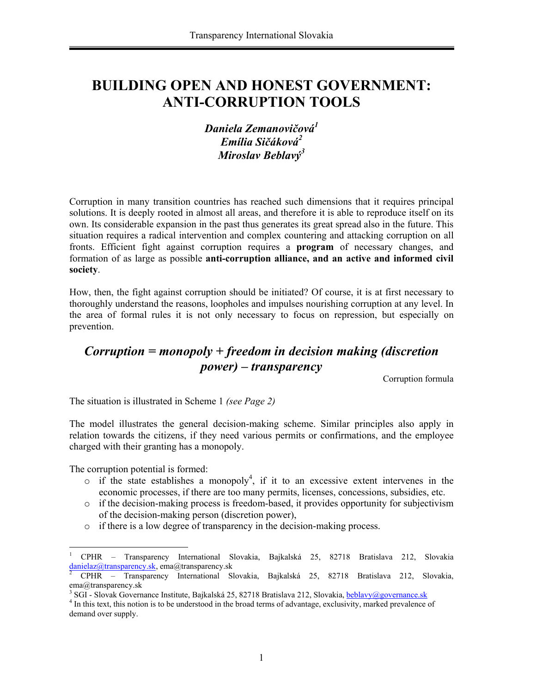# **BUILDING OPEN AND HONEST GOVERNMENT: ANTI-CORRUPTION TOOLS**

# *Daniela Zemanovičová<sup>1</sup> Emília Sičáková2 Miroslav Beblavý<sup>3</sup>*

Corruption in many transition countries has reached such dimensions that it requires principal solutions. It is deeply rooted in almost all areas, and therefore it is able to reproduce itself on its own. Its considerable expansion in the past thus generates its great spread also in the future. This situation requires a radical intervention and complex countering and attacking corruption on all fronts. Efficient fight against corruption requires a **program** of necessary changes, and formation of as large as possible **anti-corruption alliance, and an active and informed civil society**.

How, then, the fight against corruption should be initiated? Of course, it is at first necessary to thoroughly understand the reasons, loopholes and impulses nourishing corruption at any level. In the area of formal rules it is not only necessary to focus on repression, but especially on prevention.

# *Corruption = monopoly + freedom in decision making (discretion power) – transparency*

Corruption formula

The situation is illustrated in Scheme 1 *(see Page 2)*

The model illustrates the general decision-making scheme. Similar principles also apply in relation towards the citizens, if they need various permits or confirmations, and the employee charged with their granting has a monopoly.

The corruption potential is formed:

 $\overline{a}$ 

- $\circ$  if the state establishes a monopoly<sup>4</sup>, if it to an excessive extent intervenes in the economic processes, if there are too many permits, licenses, concessions, subsidies, etc.
- $\circ$  if the decision-making process is freedom-based, it provides opportunity for subjectivism of the decision-making person (discretion power),
- o if there is a low degree of transparency in the decision-making process.

<sup>1</sup> CPHR – Transparency International Slovakia, Bajkalská 25, 82718 Bratislava 212, Slovakia danielaz@transparency.sk, ema@transparency.sk 2

CPHR – Transparency International Slovakia, Bajkalská 25, 82718 Bratislava 212, Slovakia, ema@transparency.sk

<sup>&</sup>lt;sup>3</sup> SGI - Slovak Governance Institute, Bajkalská 25, 82718 Bratislava 212, Slovakia, **beblavy@governance.sk**  $^{4}$  In this to this notion is to be understood in the broad terms of edventage, exclusivity, merked prevelence

<sup>&</sup>lt;sup>4</sup> In this text, this notion is to be understood in the broad terms of advantage, exclusivity, marked prevalence of demand over supply.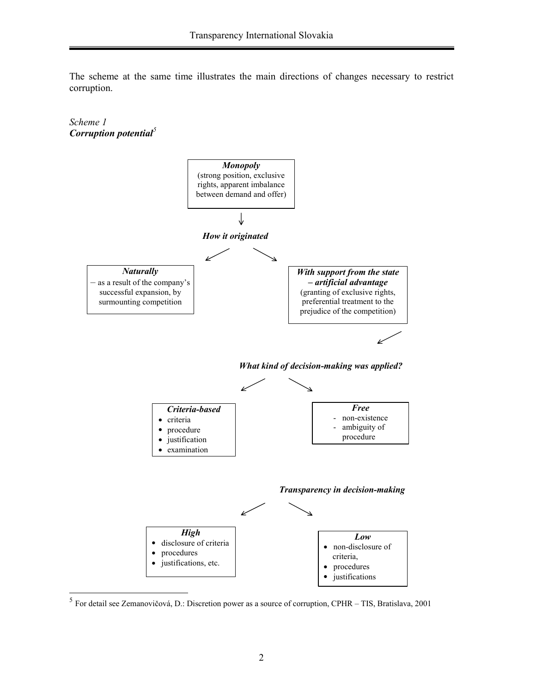The scheme at the same time illustrates the main directions of changes necessary to restrict corruption.

#### *Scheme 1 Corruption potential<sup>5</sup>*



 $<sup>5</sup>$  For detail see Zemanovičová, D.: Discretion power as a source of corruption, CPHR – TIS, Bratislava, 2001</sup>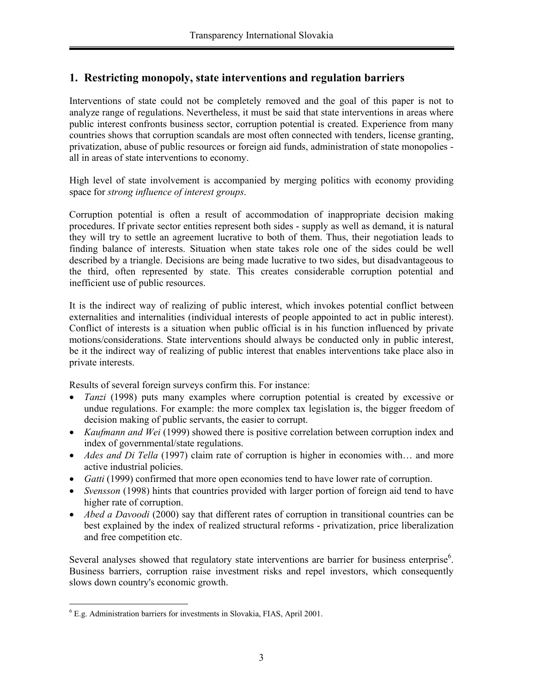# **1. Restricting monopoly, state interventions and regulation barriers**

Interventions of state could not be completely removed and the goal of this paper is not to analyze range of regulations. Nevertheless, it must be said that state interventions in areas where public interest confronts business sector, corruption potential is created. Experience from many countries shows that corruption scandals are most often connected with tenders, license granting, privatization, abuse of public resources or foreign aid funds, administration of state monopolies all in areas of state interventions to economy.

High level of state involvement is accompanied by merging politics with economy providing space for *strong influence of interest groups*.

Corruption potential is often a result of accommodation of inappropriate decision making procedures. If private sector entities represent both sides - supply as well as demand, it is natural they will try to settle an agreement lucrative to both of them. Thus, their negotiation leads to finding balance of interests. Situation when state takes role one of the sides could be well described by a triangle. Decisions are being made lucrative to two sides, but disadvantageous to the third, often represented by state. This creates considerable corruption potential and inefficient use of public resources.

It is the indirect way of realizing of public interest, which invokes potential conflict between externalities and internalities (individual interests of people appointed to act in public interest). Conflict of interests is a situation when public official is in his function influenced by private motions/considerations. State interventions should always be conducted only in public interest, be it the indirect way of realizing of public interest that enables interventions take place also in private interests.

Results of several foreign surveys confirm this. For instance:

- *Tanzi* (1998) puts many examples where corruption potential is created by excessive or undue regulations. For example: the more complex tax legislation is, the bigger freedom of decision making of public servants, the easier to corrupt.
- *Kaufmann and Wei* (1999) showed there is positive correlation between corruption index and index of governmental/state regulations.
- *Ades and Di Tella* (1997) claim rate of corruption is higher in economies with... and more active industrial policies.
- *Gatti* (1999) confirmed that more open economies tend to have lower rate of corruption.
- *Svensson* (1998) hints that countries provided with larger portion of foreign aid tend to have higher rate of corruption.
- *Abed a Davoodi* (2000) say that different rates of corruption in transitional countries can be best explained by the index of realized structural reforms - privatization, price liberalization and free competition etc.

Several analyses showed that regulatory state interventions are barrier for business enterprise<sup>6</sup>. Business barriers, corruption raise investment risks and repel investors, which consequently slows down country's economic growth.

 6 E.g. Administration barriers for investments in Slovakia, FIAS, April 2001.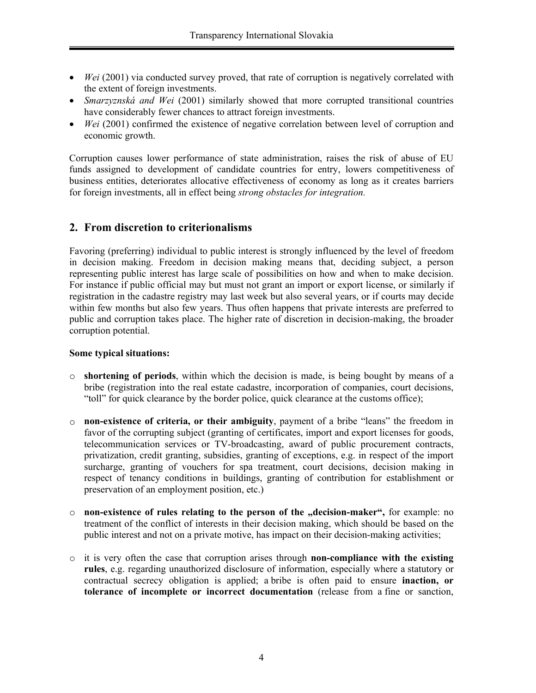- *Wei* (2001) via conducted survey proved, that rate of corruption is negatively correlated with the extent of foreign investments.
- *Smarzyznská and Wei* (2001) similarly showed that more corrupted transitional countries have considerably fewer chances to attract foreign investments.
- *Wei* (2001) confirmed the existence of negative correlation between level of corruption and economic growth.

Corruption causes lower performance of state administration, raises the risk of abuse of EU funds assigned to development of candidate countries for entry, lowers competitiveness of business entities, deteriorates allocative effectiveness of economy as long as it creates barriers for foreign investments, all in effect being *strong obstacles for integration.* 

# **2. From discretion to criterionalisms**

Favoring (preferring) individual to public interest is strongly influenced by the level of freedom in decision making. Freedom in decision making means that, deciding subject, a person representing public interest has large scale of possibilities on how and when to make decision. For instance if public official may but must not grant an import or export license, or similarly if registration in the cadastre registry may last week but also several years, or if courts may decide within few months but also few years. Thus often happens that private interests are preferred to public and corruption takes place. The higher rate of discretion in decision-making, the broader corruption potential.

#### **Some typical situations:**

- o **shortening of periods**, within which the decision is made, is being bought by means of a bribe (registration into the real estate cadastre, incorporation of companies, court decisions, "toll" for quick clearance by the border police, quick clearance at the customs office);
- o **non-existence of criteria, or their ambiguity**, payment of a bribe "leans" the freedom in favor of the corrupting subject (granting of certificates, import and export licenses for goods, telecommunication services or TV-broadcasting, award of public procurement contracts, privatization, credit granting, subsidies, granting of exceptions, e.g. in respect of the import surcharge, granting of vouchers for spa treatment, court decisions, decision making in respect of tenancy conditions in buildings, granting of contribution for establishment or preservation of an employment position, etc.)
- o **non-existence of rules relating to the person of the "decision-maker",** for example: no treatment of the conflict of interests in their decision making, which should be based on the public interest and not on a private motive, has impact on their decision-making activities;
- o it is very often the case that corruption arises through **non-compliance with the existing rules**, e.g. regarding unauthorized disclosure of information, especially where a statutory or contractual secrecy obligation is applied; a bribe is often paid to ensure **inaction, or tolerance of incomplete or incorrect documentation** (release from a fine or sanction,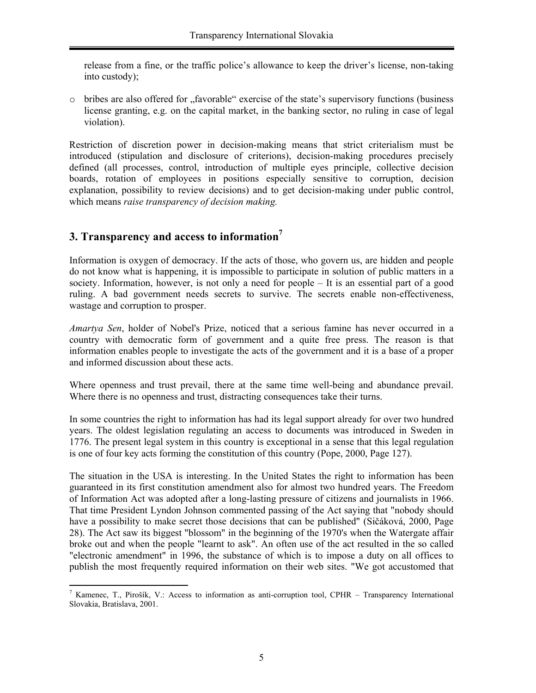release from a fine, or the traffic police's allowance to keep the driver's license, non-taking into custody);

 $\circ$  bribes are also offered for  $\alpha$ , favorable "exercise of the state's supervisory functions (business license granting, e.g. on the capital market, in the banking sector, no ruling in case of legal violation).

Restriction of discretion power in decision-making means that strict criterialism must be introduced (stipulation and disclosure of criterions), decision-making procedures precisely defined (all processes, control, introduction of multiple eyes principle, collective decision boards, rotation of employees in positions especially sensitive to corruption, decision explanation, possibility to review decisions) and to get decision-making under public control, which means *raise transparency of decision making.*

# **3. Transparency and access to information7**

Information is oxygen of democracy. If the acts of those, who govern us, are hidden and people do not know what is happening, it is impossible to participate in solution of public matters in a society. Information, however, is not only a need for people – It is an essential part of a good ruling. A bad government needs secrets to survive. The secrets enable non-effectiveness, wastage and corruption to prosper.

*Amartya Sen*, holder of Nobel's Prize, noticed that a serious famine has never occurred in a country with democratic form of government and a quite free press. The reason is that information enables people to investigate the acts of the government and it is a base of a proper and informed discussion about these acts.

Where openness and trust prevail, there at the same time well-being and abundance prevail. Where there is no openness and trust, distracting consequences take their turns.

In some countries the right to information has had its legal support already for over two hundred years. The oldest legislation regulating an access to documents was introduced in Sweden in 1776. The present legal system in this country is exceptional in a sense that this legal regulation is one of four key acts forming the constitution of this country (Pope, 2000, Page 127).

The situation in the USA is interesting. In the United States the right to information has been guaranteed in its first constitution amendment also for almost two hundred years. The Freedom of Information Act was adopted after a long-lasting pressure of citizens and journalists in 1966. That time President Lyndon Johnson commented passing of the Act saying that "nobody should have a possibility to make secret those decisions that can be published" (Sičáková, 2000, Page 28). The Act saw its biggest "blossom" in the beginning of the 1970's when the Watergate affair broke out and when the people "learnt to ask". An often use of the act resulted in the so called "electronic amendment" in 1996, the substance of which is to impose a duty on all offices to publish the most frequently required information on their web sites. "We got accustomed that

l <sup>7</sup> Kamenec, T., Pirošík, V.: Access to information as anti-corruption tool, CPHR – Transparency International Slovakia, Bratislava, 2001.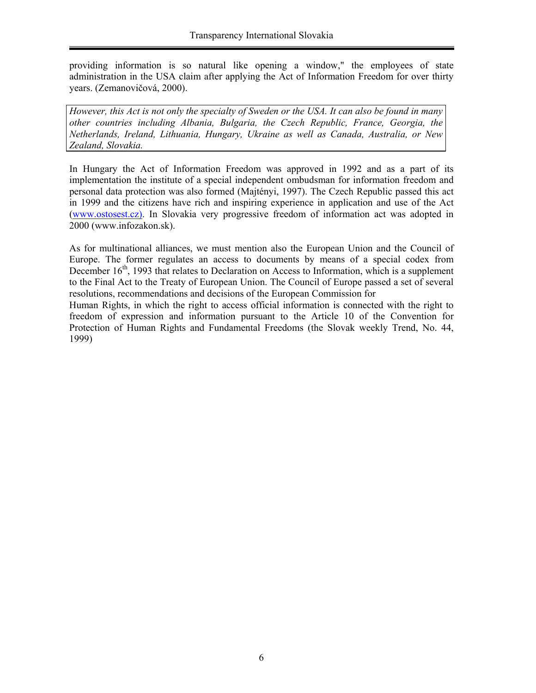providing information is so natural like opening a window," the employees of state administration in the USA claim after applying the Act of Information Freedom for over thirty years. (Zemanovičová, 2000).

*However, this Act is not only the specialty of Sweden or the USA. It can also be found in many other countries including Albania, Bulgaria, the Czech Republic, France, Georgia, the Netherlands, Ireland, Lithuania, Hungary, Ukraine as well as Canada, Australia, or New Zealand, Slovakia.* 

In Hungary the Act of Information Freedom was approved in 1992 and as a part of its implementation the institute of a special independent ombudsman for information freedom and personal data protection was also formed (Majtényi, 1997). The Czech Republic passed this act in 1999 and the citizens have rich and inspiring experience in application and use of the Act (www.ostosest.cz). In Slovakia very progressive freedom of information act was adopted in 2000 (www.infozakon.sk).

As for multinational alliances, we must mention also the European Union and the Council of Europe. The former regulates an access to documents by means of a special codex from December 16<sup>th</sup>, 1993 that relates to Declaration on Access to Information, which is a supplement to the Final Act to the Treaty of European Union. The Council of Europe passed a set of several resolutions, recommendations and decisions of the European Commission for

Human Rights, in which the right to access official information is connected with the right to freedom of expression and information pursuant to the Article 10 of the Convention for Protection of Human Rights and Fundamental Freedoms (the Slovak weekly Trend, No. 44, 1999)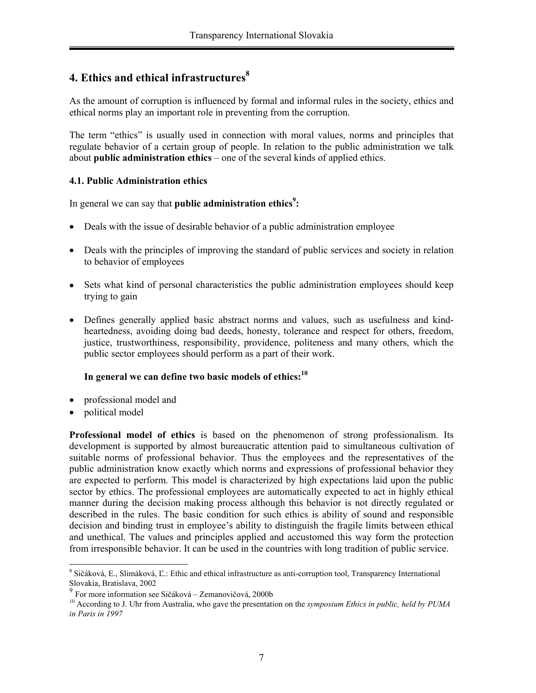# **4. Ethics and ethical infrastructures<sup>8</sup>**

As the amount of corruption is influenced by formal and informal rules in the society, ethics and ethical norms play an important role in preventing from the corruption.

The term "ethics" is usually used in connection with moral values, norms and principles that regulate behavior of a certain group of people. In relation to the public administration we talk about **public administration ethics** – one of the several kinds of applied ethics.

### **4.1. Public Administration ethics**

In general we can say that **public administration ethics<sup>9</sup>:** 

- Deals with the issue of desirable behavior of a public administration employee
- Deals with the principles of improving the standard of public services and society in relation to behavior of employees
- Sets what kind of personal characteristics the public administration employees should keep trying to gain
- Defines generally applied basic abstract norms and values, such as usefulness and kindheartedness, avoiding doing bad deeds, honesty, tolerance and respect for others, freedom, justice, trustworthiness, responsibility, providence, politeness and many others, which the public sector employees should perform as a part of their work.

### **In general we can define two basic models of ethics:10**

- professional model and
- political model

**Professional model of ethics** is based on the phenomenon of strong professionalism. Its development is supported by almost bureaucratic attention paid to simultaneous cultivation of suitable norms of professional behavior. Thus the employees and the representatives of the public administration know exactly which norms and expressions of professional behavior they are expected to perform. This model is characterized by high expectations laid upon the public sector by ethics. The professional employees are automatically expected to act in highly ethical manner during the decision making process although this behavior is not directly regulated or described in the rules. The basic condition for such ethics is ability of sound and responsible decision and binding trust in employee's ability to distinguish the fragile limits between ethical and unethical. The values and principles applied and accustomed this way form the protection from irresponsible behavior. It can be used in the countries with long tradition of public service.

 $\overline{a}$ 8 Sičáková, E., Slimáková, Ľ.: Ethic and ethical infrastructure as anti-corruption tool, Transparency International Slovakia, Bratislava, 2002

 $9^9$  For more information see Sičáková – Zemanovičová, 2000b

<sup>10</sup> According to J. Uhr from Australia, who gave the presentation on the *symposium Ethics in public, held by PUMA in Paris in 1997*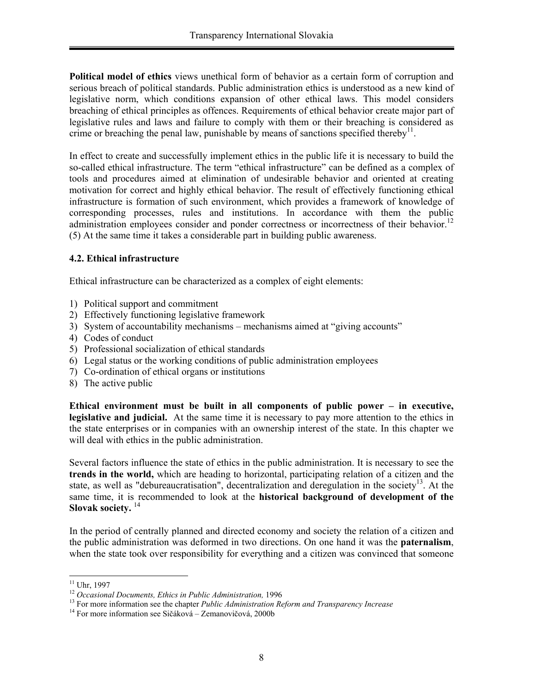**Political model of ethics** views unethical form of behavior as a certain form of corruption and serious breach of political standards. Public administration ethics is understood as a new kind of legislative norm, which conditions expansion of other ethical laws. This model considers breaching of ethical principles as offences. Requirements of ethical behavior create major part of legislative rules and laws and failure to comply with them or their breaching is considered as crime or breaching the penal law, punishable by means of sanctions specified thereby<sup>11</sup>.

In effect to create and successfully implement ethics in the public life it is necessary to build the so-called ethical infrastructure. The term "ethical infrastructure" can be defined as a complex of tools and procedures aimed at elimination of undesirable behavior and oriented at creating motivation for correct and highly ethical behavior. The result of effectively functioning ethical infrastructure is formation of such environment, which provides a framework of knowledge of corresponding processes, rules and institutions. In accordance with them the public administration employees consider and ponder correctness or incorrectness of their behavior.<sup>12</sup> (5) At the same time it takes a considerable part in building public awareness.

### **4.2. Ethical infrastructure**

Ethical infrastructure can be characterized as a complex of eight elements:

- 1) Political support and commitment
- 2) Effectively functioning legislative framework
- 3) System of accountability mechanisms mechanisms aimed at "giving accounts"
- 4) Codes of conduct
- 5) Professional socialization of ethical standards
- 6) Legal status or the working conditions of public administration employees
- 7) Co-ordination of ethical organs or institutions
- 8) The active public

**Ethical environment must be built in all components of public power – in executive, legislative and judicial.** At the same time it is necessary to pay more attention to the ethics in the state enterprises or in companies with an ownership interest of the state. In this chapter we will deal with ethics in the public administration.

Several factors influence the state of ethics in the public administration. It is necessary to see the **trends in the world,** which are heading to horizontal, participating relation of a citizen and the state, as well as "debureaucratisation", decentralization and deregulation in the society<sup>13</sup>. At the same time, it is recommended to look at the **historical background of development of the**  Slovak society.<sup>14</sup>

In the period of centrally planned and directed economy and society the relation of a citizen and the public administration was deformed in two directions. On one hand it was the **paternalism**, when the state took over responsibility for everything and a citizen was convinced that someone

 $\overline{a}$ 

 $11$  Uhr, 1997

<sup>&</sup>lt;sup>12</sup> Occasional Documents, Ethics in Public Administration, 1996<br><sup>13</sup> For more information see the chapter *Public Administration Reform and Transparency Increase*<br><sup>14</sup> For more information see Sičáková – Zemanovičová, 20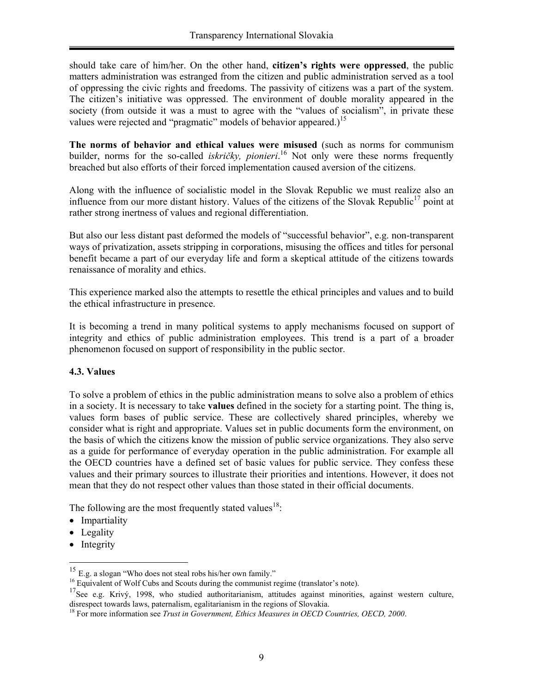should take care of him/her. On the other hand, **citizen's rights were oppressed**, the public matters administration was estranged from the citizen and public administration served as a tool of oppressing the civic rights and freedoms. The passivity of citizens was a part of the system. The citizen's initiative was oppressed. The environment of double morality appeared in the society (from outside it was a must to agree with the "values of socialism", in private these values were rejected and "pragmatic" models of behavior appeared.)<sup>15</sup>

**The norms of behavior and ethical values were misused** (such as norms for communism builder, norms for the so-called *iskričky, pionieri*.<sup>16</sup> Not only were these norms frequently breached but also efforts of their forced implementation caused aversion of the citizens.

Along with the influence of socialistic model in the Slovak Republic we must realize also an influence from our more distant history. Values of the citizens of the Slovak Republic<sup>17</sup> point at rather strong inertness of values and regional differentiation.

But also our less distant past deformed the models of "successful behavior", e.g. non-transparent ways of privatization, assets stripping in corporations, misusing the offices and titles for personal benefit became a part of our everyday life and form a skeptical attitude of the citizens towards renaissance of morality and ethics.

This experience marked also the attempts to resettle the ethical principles and values and to build the ethical infrastructure in presence.

It is becoming a trend in many political systems to apply mechanisms focused on support of integrity and ethics of public administration employees. This trend is a part of a broader phenomenon focused on support of responsibility in the public sector.

#### **4.3. Values**

To solve a problem of ethics in the public administration means to solve also a problem of ethics in a society. It is necessary to take **values** defined in the society for a starting point. The thing is, values form bases of public service. These are collectively shared principles, whereby we consider what is right and appropriate. Values set in public documents form the environment, on the basis of which the citizens know the mission of public service organizations. They also serve as a guide for performance of everyday operation in the public administration. For example all the OECD countries have a defined set of basic values for public service. They confess these values and their primary sources to illustrate their priorities and intentions. However, it does not mean that they do not respect other values than those stated in their official documents.

The following are the most frequently stated values<sup>18</sup>:

- Impartiality
- Legality
- Integrity

 $\overline{a}$ 

 $15$  E.g. a slogan "Who does not steal robs his/her own family."

<sup>&</sup>lt;sup>16</sup> Equivalent of Wolf Cubs and Scouts during the communist regime (translator's note).

<sup>&</sup>lt;sup>17</sup>See e.g. Krivý, 1998, who studied authoritarianism, attitudes against minorities, against western culture, disrespect towards laws, paternalism, egalitarianism in the regions of Slovakia.

<sup>18</sup> For more information see *Trust in Government, Ethics Measures in OECD Countries, OECD, 2000*.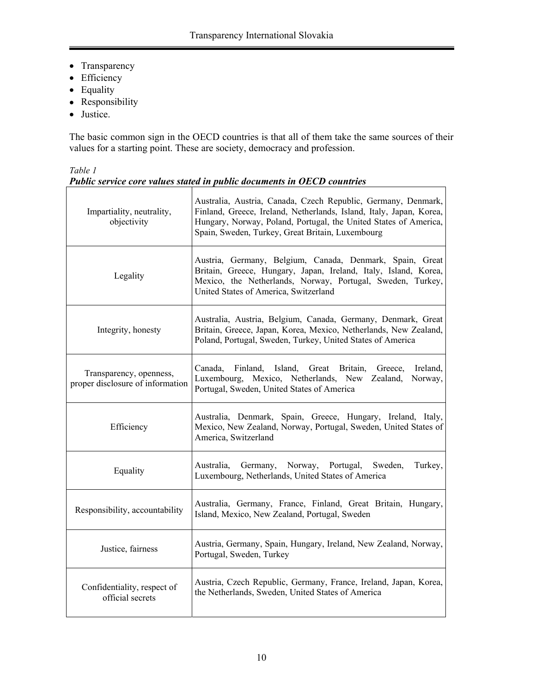- Transparency
- Efficiency
- Equality
- Responsibility
- Justice.

The basic common sign in the OECD countries is that all of them take the same sources of their values for a starting point. These are society, democracy and profession.

*Table 1 Public service core values stated in public documents in OECD countries*

| Impartiality, neutrality,<br>objectivity                    | Australia, Austria, Canada, Czech Republic, Germany, Denmark,<br>Finland, Greece, Ireland, Netherlands, Island, Italy, Japan, Korea,<br>Hungary, Norway, Poland, Portugal, the United States of America,<br>Spain, Sweden, Turkey, Great Britain, Luxembourg |  |
|-------------------------------------------------------------|--------------------------------------------------------------------------------------------------------------------------------------------------------------------------------------------------------------------------------------------------------------|--|
| Legality                                                    | Austria, Germany, Belgium, Canada, Denmark, Spain, Great<br>Britain, Greece, Hungary, Japan, Ireland, Italy, Island, Korea,<br>Mexico, the Netherlands, Norway, Portugal, Sweden, Turkey,<br>United States of America, Switzerland                           |  |
| Integrity, honesty                                          | Australia, Austria, Belgium, Canada, Germany, Denmark, Great<br>Britain, Greece, Japan, Korea, Mexico, Netherlands, New Zealand,<br>Poland, Portugal, Sweden, Turkey, United States of America                                                               |  |
| Transparency, openness,<br>proper disclosure of information | Ireland,<br>Canada,<br>Finland, Island, Great Britain,<br>Greece,<br>Luxembourg, Mexico, Netherlands, New Zealand,<br>Norway,<br>Portugal, Sweden, United States of America                                                                                  |  |
| Efficiency                                                  | Australia, Denmark, Spain, Greece, Hungary, Ireland, Italy,<br>Mexico, New Zealand, Norway, Portugal, Sweden, United States of<br>America, Switzerland                                                                                                       |  |
| Equality                                                    | Australia,<br>Germany, Norway, Portugal, Sweden,<br>Turkey,<br>Luxembourg, Netherlands, United States of America                                                                                                                                             |  |
| Responsibility, accountability                              | Australia, Germany, France, Finland, Great Britain, Hungary,<br>Island, Mexico, New Zealand, Portugal, Sweden                                                                                                                                                |  |
| Justice, fairness                                           | Austria, Germany, Spain, Hungary, Ireland, New Zealand, Norway,<br>Portugal, Sweden, Turkey                                                                                                                                                                  |  |
| Confidentiality, respect of<br>official secrets             | Austria, Czech Republic, Germany, France, Ireland, Japan, Korea,<br>the Netherlands, Sweden, United States of America                                                                                                                                        |  |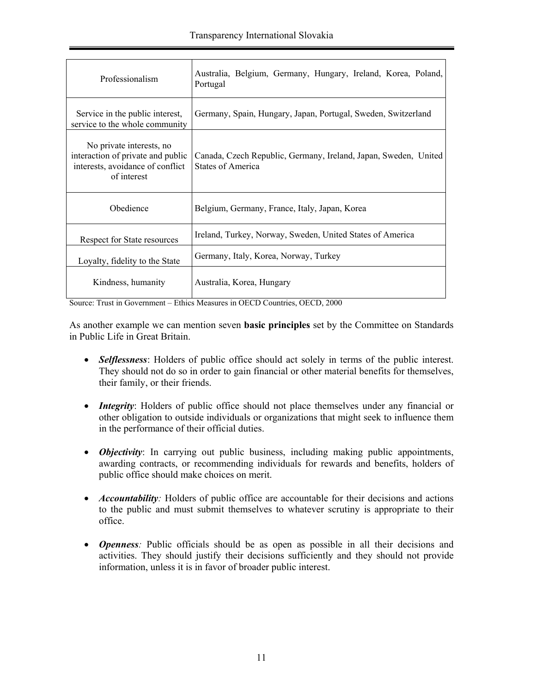| Professionalism                                                                                                  | Australia, Belgium, Germany, Hungary, Ireland, Korea, Poland,<br>Portugal            |
|------------------------------------------------------------------------------------------------------------------|--------------------------------------------------------------------------------------|
| Service in the public interest,<br>service to the whole community                                                | Germany, Spain, Hungary, Japan, Portugal, Sweden, Switzerland                        |
| No private interests, no<br>interaction of private and public<br>interests, avoidance of conflict<br>of interest | Canada, Czech Republic, Germany, Ireland, Japan, Sweden, United<br>States of America |
| Obedience                                                                                                        | Belgium, Germany, France, Italy, Japan, Korea                                        |
| Respect for State resources                                                                                      | Ireland, Turkey, Norway, Sweden, United States of America                            |
| Loyalty, fidelity to the State                                                                                   | Germany, Italy, Korea, Norway, Turkey                                                |
| Kindness, humanity                                                                                               | Australia, Korea, Hungary                                                            |

Source: Trust in Government – Ethics Measures in OECD Countries, OECD, 2000

As another example we can mention seven **basic principles** set by the Committee on Standards in Public Life in Great Britain.

- *Selflessness*: Holders of public office should act solely in terms of the public interest. They should not do so in order to gain financial or other material benefits for themselves, their family, or their friends.
- *Integrity*: Holders of public office should not place themselves under any financial or other obligation to outside individuals or organizations that might seek to influence them in the performance of their official duties.
- *Objectivity*: In carrying out public business, including making public appointments, awarding contracts, or recommending individuals for rewards and benefits, holders of public office should make choices on merit.
- *Accountability:* Holders of public office are accountable for their decisions and actions to the public and must submit themselves to whatever scrutiny is appropriate to their office.
- *Openness:* Public officials should be as open as possible in all their decisions and activities. They should justify their decisions sufficiently and they should not provide information, unless it is in favor of broader public interest.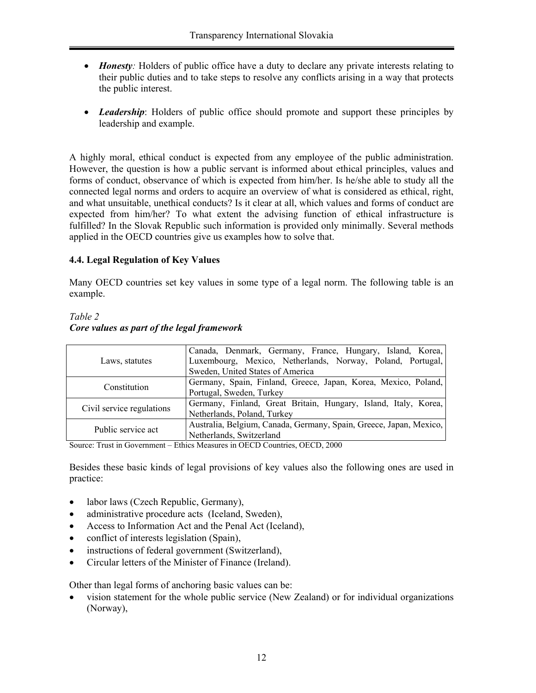- *Honesty:* Holders of public office have a duty to declare any private interests relating to their public duties and to take steps to resolve any conflicts arising in a way that protects the public interest.
- *Leadership*: Holders of public office should promote and support these principles by leadership and example.

A highly moral, ethical conduct is expected from any employee of the public administration. However, the question is how a public servant is informed about ethical principles, values and forms of conduct, observance of which is expected from him/her. Is he/she able to study all the connected legal norms and orders to acquire an overview of what is considered as ethical, right, and what unsuitable, unethical conducts? Is it clear at all, which values and forms of conduct are expected from him/her? To what extent the advising function of ethical infrastructure is fulfilled? In the Slovak Republic such information is provided only minimally. Several methods applied in the OECD countries give us examples how to solve that.

### **4.4. Legal Regulation of Key Values**

Many OECD countries set key values in some type of a legal norm. The following table is an example.

# *Table 2 Core values as part of the legal framework*

|                           | Canada, Denmark, Germany, France, Hungary, Island, Korea,          |
|---------------------------|--------------------------------------------------------------------|
| Laws, statutes            | Luxembourg, Mexico, Netherlands, Norway, Poland, Portugal,         |
|                           | Sweden, United States of America                                   |
| Constitution              | Germany, Spain, Finland, Greece, Japan, Korea, Mexico, Poland,     |
|                           | Portugal, Sweden, Turkey                                           |
| Civil service regulations | Germany, Finland, Great Britain, Hungary, Island, Italy, Korea,    |
|                           | Netherlands, Poland, Turkey                                        |
| Public service act        | Australia, Belgium, Canada, Germany, Spain, Greece, Japan, Mexico, |
|                           | Netherlands, Switzerland                                           |

Source: Trust in Government – Ethics Measures in OECD Countries, OECD, 2000

Besides these basic kinds of legal provisions of key values also the following ones are used in practice:

- labor laws (Czech Republic, Germany),
- administrative procedure acts (Iceland, Sweden),
- Access to Information Act and the Penal Act (Iceland),
- conflict of interests legislation (Spain),
- instructions of federal government (Switzerland),
- Circular letters of the Minister of Finance (Ireland).

Other than legal forms of anchoring basic values can be:

• vision statement for the whole public service (New Zealand) or for individual organizations (Norway),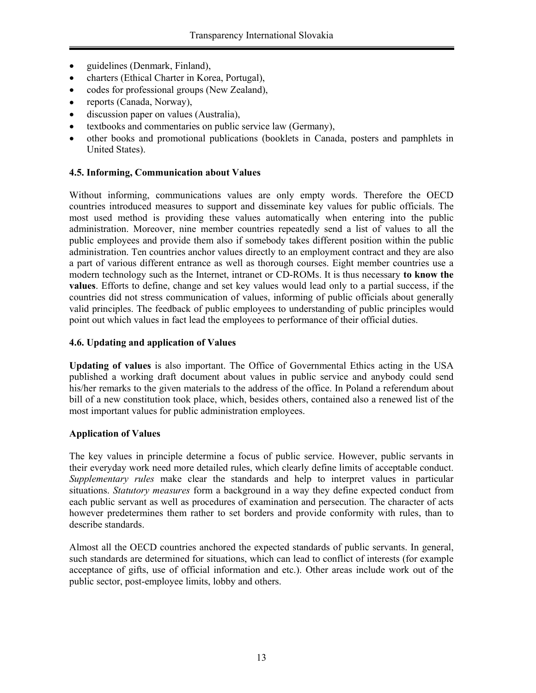- guidelines (Denmark, Finland),
- charters (Ethical Charter in Korea, Portugal),
- codes for professional groups (New Zealand),
- reports (Canada, Norway),
- discussion paper on values (Australia),
- textbooks and commentaries on public service law (Germany),
- other books and promotional publications (booklets in Canada, posters and pamphlets in United States).

### **4.5. Informing, Communication about Values**

Without informing, communications values are only empty words. Therefore the OECD countries introduced measures to support and disseminate key values for public officials. The most used method is providing these values automatically when entering into the public administration. Moreover, nine member countries repeatedly send a list of values to all the public employees and provide them also if somebody takes different position within the public administration. Ten countries anchor values directly to an employment contract and they are also a part of various different entrance as well as thorough courses. Eight member countries use a modern technology such as the Internet, intranet or CD-ROMs. It is thus necessary **to know the values**. Efforts to define, change and set key values would lead only to a partial success, if the countries did not stress communication of values, informing of public officials about generally valid principles. The feedback of public employees to understanding of public principles would point out which values in fact lead the employees to performance of their official duties.

#### **4.6. Updating and application of Values**

**Updating of values** is also important. The Office of Governmental Ethics acting in the USA published a working draft document about values in public service and anybody could send his/her remarks to the given materials to the address of the office. In Poland a referendum about bill of a new constitution took place, which, besides others, contained also a renewed list of the most important values for public administration employees.

### **Application of Values**

The key values in principle determine a focus of public service. However, public servants in their everyday work need more detailed rules, which clearly define limits of acceptable conduct. *Supplementary rules* make clear the standards and help to interpret values in particular situations. *Statutory measures* form a background in a way they define expected conduct from each public servant as well as procedures of examination and persecution. The character of acts however predetermines them rather to set borders and provide conformity with rules, than to describe standards.

Almost all the OECD countries anchored the expected standards of public servants. In general, such standards are determined for situations, which can lead to conflict of interests (for example acceptance of gifts, use of official information and etc.). Other areas include work out of the public sector, post-employee limits, lobby and others.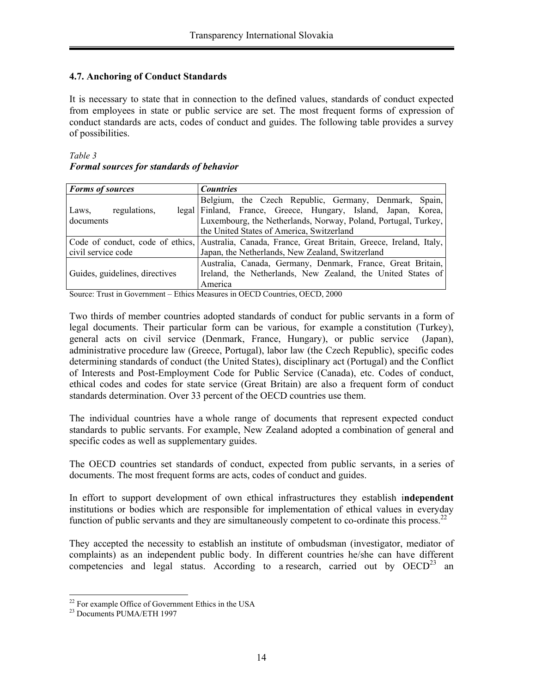### **4.7. Anchoring of Conduct Standards**

It is necessary to state that in connection to the defined values, standards of conduct expected from employees in state or public service are set. The most frequent forms of expression of conduct standards are acts, codes of conduct and guides. The following table provides a survey of possibilities.

#### *Table 3 Formal sources for standards of behavior*

| <b>Forms of sources</b>        | <b>Countries</b>                                                                                   |
|--------------------------------|----------------------------------------------------------------------------------------------------|
|                                | Belgium, the Czech Republic, Germany, Denmark, Spain,                                              |
| regulations,<br>Laws,          | legal Finland, France, Greece, Hungary, Island, Japan, Korea,                                      |
| documents                      | Luxembourg, the Netherlands, Norway, Poland, Portugal, Turkey,                                     |
|                                | the United States of America, Switzerland                                                          |
|                                | Code of conduct, code of ethics, Australia, Canada, France, Great Britain, Greece, Ireland, Italy, |
| civil service code             | Japan, the Netherlands, New Zealand, Switzerland                                                   |
|                                | Australia, Canada, Germany, Denmark, France, Great Britain,                                        |
| Guides, guidelines, directives | Ireland, the Netherlands, New Zealand, the United States of                                        |
|                                | America                                                                                            |

Source: Trust in Government – Ethics Measures in OECD Countries, OECD, 2000

Two thirds of member countries adopted standards of conduct for public servants in a form of legal documents. Their particular form can be various, for example a constitution (Turkey), general acts on civil service (Denmark, France, Hungary), or public service (Japan), administrative procedure law (Greece, Portugal), labor law (the Czech Republic), specific codes determining standards of conduct (the United States), disciplinary act (Portugal) and the Conflict of Interests and Post-Employment Code for Public Service (Canada), etc. Codes of conduct, ethical codes and codes for state service (Great Britain) are also a frequent form of conduct standards determination. Over 33 percent of the OECD countries use them.

The individual countries have a whole range of documents that represent expected conduct standards to public servants. For example, New Zealand adopted a combination of general and specific codes as well as supplementary guides.

The OECD countries set standards of conduct, expected from public servants, in a series of documents. The most frequent forms are acts, codes of conduct and guides.

In effort to support development of own ethical infrastructures they establish i**ndependent**  institutions or bodies which are responsible for implementation of ethical values in everyday function of public servants and they are simultaneously competent to co-ordinate this process.<sup>22</sup>

They accepted the necessity to establish an institute of ombudsman (investigator, mediator of complaints) as an independent public body. In different countries he/she can have different competencies and legal status. According to a research, carried out by  $OECD^{23}$  an

 $\overline{a}$ <sup>22</sup> For example Office of Government Ethics in the USA

<sup>23</sup> Documents PUMA/ETH 1997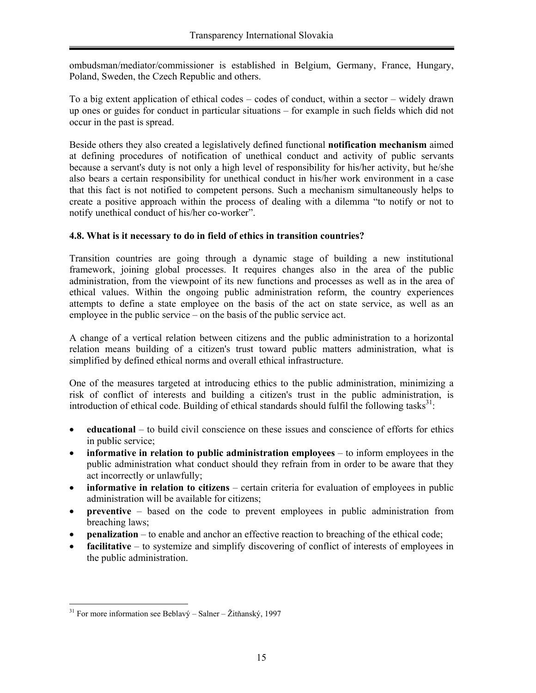ombudsman/mediator/commissioner is established in Belgium, Germany, France, Hungary, Poland, Sweden, the Czech Republic and others.

To a big extent application of ethical codes – codes of conduct, within a sector – widely drawn up ones or guides for conduct in particular situations – for example in such fields which did not occur in the past is spread.

Beside others they also created a legislatively defined functional **notification mechanism** aimed at defining procedures of notification of unethical conduct and activity of public servants because a servant's duty is not only a high level of responsibility for his/her activity, but he/she also bears a certain responsibility for unethical conduct in his/her work environment in a case that this fact is not notified to competent persons. Such a mechanism simultaneously helps to create a positive approach within the process of dealing with a dilemma "to notify or not to notify unethical conduct of his/her co-worker".

#### **4.8. What is it necessary to do in field of ethics in transition countries?**

Transition countries are going through a dynamic stage of building a new institutional framework, joining global processes. It requires changes also in the area of the public administration, from the viewpoint of its new functions and processes as well as in the area of ethical values. Within the ongoing public administration reform, the country experiences attempts to define a state employee on the basis of the act on state service, as well as an employee in the public service – on the basis of the public service act.

A change of a vertical relation between citizens and the public administration to a horizontal relation means building of a citizen's trust toward public matters administration, what is simplified by defined ethical norms and overall ethical infrastructure.

One of the measures targeted at introducing ethics to the public administration, minimizing a risk of conflict of interests and building a citizen's trust in the public administration, is introduction of ethical code. Building of ethical standards should fulfil the following tasks $31$ :

- **educational**  to build civil conscience on these issues and conscience of efforts for ethics in public service;
- **informative in relation to public administration employees** to inform employees in the public administration what conduct should they refrain from in order to be aware that they act incorrectly or unlawfully;
- **informative in relation to citizens** certain criteria for evaluation of employees in public administration will be available for citizens;
- **preventive** based on the code to prevent employees in public administration from breaching laws;
- **penalization** to enable and anchor an effective reaction to breaching of the ethical code;
- **facilitative** to systemize and simplify discovering of conflict of interests of employees in the public administration.

 $\overline{a}$  $31$  For more information see Beblavý – Salner – Žitňanský, 1997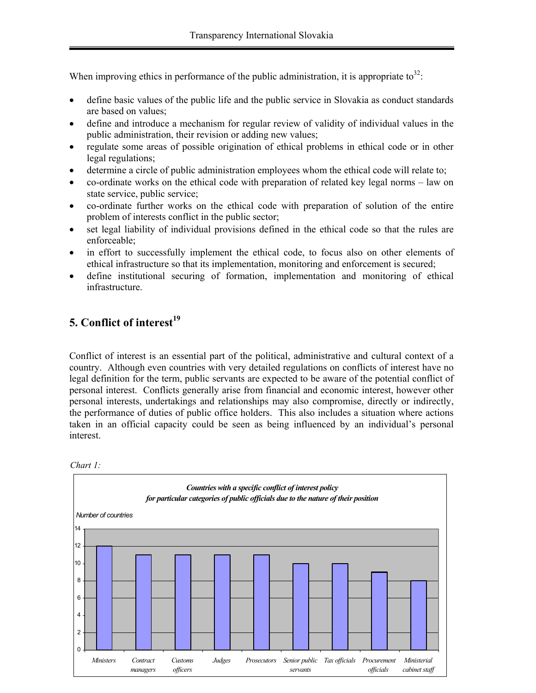When improving ethics in performance of the public administration, it is appropriate to<sup>32</sup>:

- define basic values of the public life and the public service in Slovakia as conduct standards are based on values;
- define and introduce a mechanism for regular review of validity of individual values in the public administration, their revision or adding new values;
- regulate some areas of possible origination of ethical problems in ethical code or in other legal regulations;
- determine a circle of public administration employees whom the ethical code will relate to;
- co-ordinate works on the ethical code with preparation of related key legal norms law on state service, public service;
- co-ordinate further works on the ethical code with preparation of solution of the entire problem of interests conflict in the public sector;
- set legal liability of individual provisions defined in the ethical code so that the rules are enforceable;
- in effort to successfully implement the ethical code, to focus also on other elements of ethical infrastructure so that its implementation, monitoring and enforcement is secured;
- define institutional securing of formation, implementation and monitoring of ethical infrastructure.

# **5. Conflict of interest<sup>19</sup>**

Conflict of interest is an essential part of the political, administrative and cultural context of a country. Although even countries with very detailed regulations on conflicts of interest have no legal definition for the term, public servants are expected to be aware of the potential conflict of personal interest. Conflicts generally arise from financial and economic interest, however other personal interests, undertakings and relationships may also compromise, directly or indirectly, the performance of duties of public office holders. This also includes a situation where actions taken in an official capacity could be seen as being influenced by an individual's personal interest.



*Chart 1:*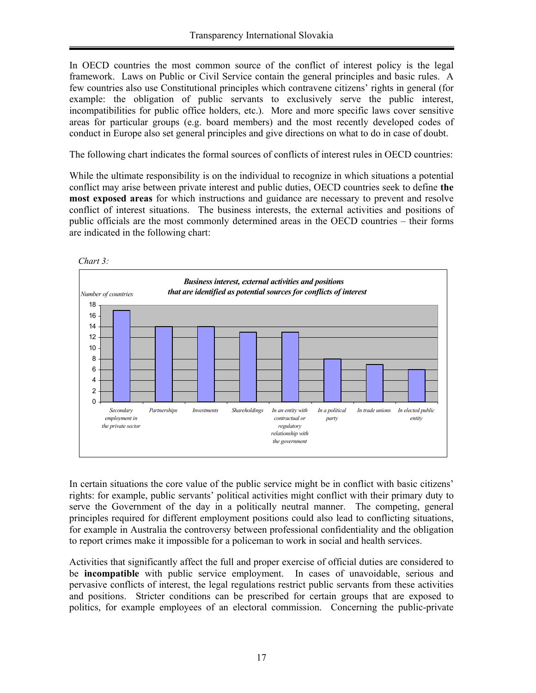In OECD countries the most common source of the conflict of interest policy is the legal framework. Laws on Public or Civil Service contain the general principles and basic rules. A few countries also use Constitutional principles which contravene citizens' rights in general (for example: the obligation of public servants to exclusively serve the public interest, incompatibilities for public office holders, etc.). More and more specific laws cover sensitive areas for particular groups (e.g. board members) and the most recently developed codes of conduct in Europe also set general principles and give directions on what to do in case of doubt.

The following chart indicates the formal sources of conflicts of interest rules in OECD countries:

While the ultimate responsibility is on the individual to recognize in which situations a potential conflict may arise between private interest and public duties, OECD countries seek to define **the most exposed areas** for which instructions and guidance are necessary to prevent and resolve conflict of interest situations. The business interests, the external activities and positions of public officials are the most commonly determined areas in the OECD countries – their forms are indicated in the following chart:



In certain situations the core value of the public service might be in conflict with basic citizens' rights: for example, public servants' political activities might conflict with their primary duty to serve the Government of the day in a politically neutral manner. The competing, general principles required for different employment positions could also lead to conflicting situations, for example in Australia the controversy between professional confidentiality and the obligation to report crimes make it impossible for a policeman to work in social and health services.

Activities that significantly affect the full and proper exercise of official duties are considered to be **incompatible** with public service employment. In cases of unavoidable, serious and pervasive conflicts of interest, the legal regulations restrict public servants from these activities and positions. Stricter conditions can be prescribed for certain groups that are exposed to politics, for example employees of an electoral commission. Concerning the public-private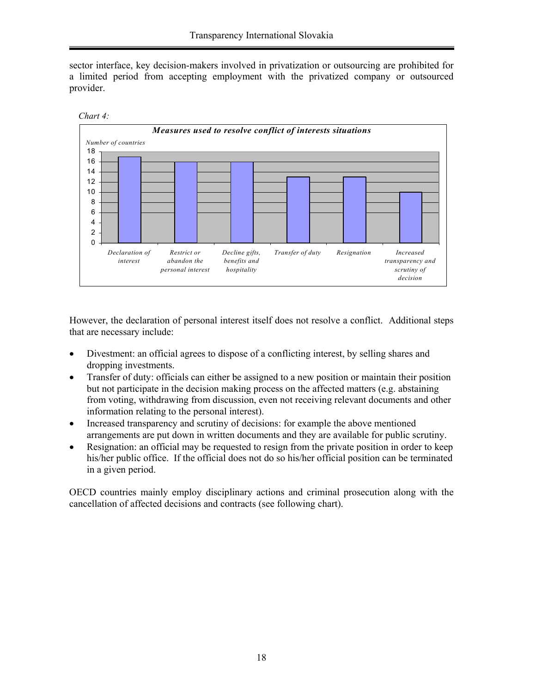sector interface, key decision-makers involved in privatization or outsourcing are prohibited for a limited period from accepting employment with the privatized company or outsourced provider.





However, the declaration of personal interest itself does not resolve a conflict. Additional steps that are necessary include:

- Divestment: an official agrees to dispose of a conflicting interest, by selling shares and dropping investments.
- Transfer of duty: officials can either be assigned to a new position or maintain their position but not participate in the decision making process on the affected matters (e.g. abstaining from voting, withdrawing from discussion, even not receiving relevant documents and other information relating to the personal interest).
- Increased transparency and scrutiny of decisions: for example the above mentioned arrangements are put down in written documents and they are available for public scrutiny.
- Resignation: an official may be requested to resign from the private position in order to keep his/her public office. If the official does not do so his/her official position can be terminated in a given period.

OECD countries mainly employ disciplinary actions and criminal prosecution along with the cancellation of affected decisions and contracts (see following chart).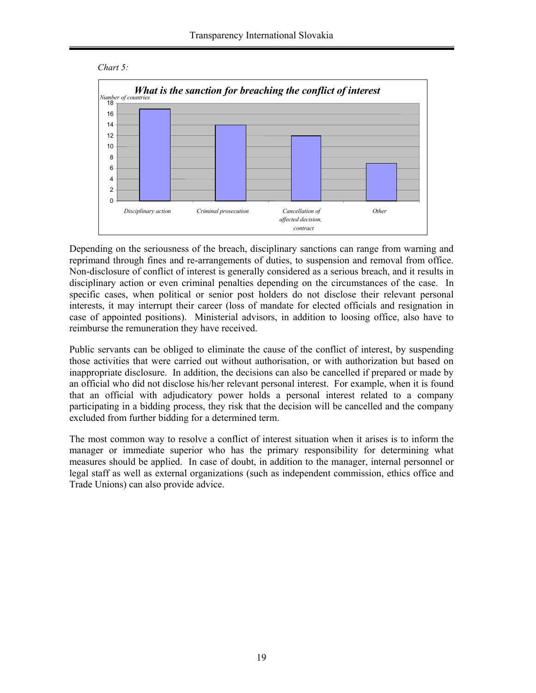



Depending on the seriousness of the breach, disciplinary sanctions can range from warning and reprimand through fines and re-arrangements of duties, to suspension and removal from office. Non-disclosure of conflict of interest is generally considered as a serious breach, and it results in disciplinary action or even criminal penalties depending on the circumstances of the case. In specific cases, when political or senior post holders do not disclose their relevant personal interests, it may interrupt their career (loss of mandate for elected officials and resignation in case of appointed positions). Ministerial advisors, in addition to loosing office, also have to reimburse the remuneration they have received.

Public servants can be obliged to eliminate the cause of the conflict of interest, by suspending those activities that were carried out without authorisation, or with authorization but based on inappropriate disclosure. In addition, the decisions can also be cancelled if prepared or made by an official who did not disclose his/her relevant personal interest. For example, when it is found that an official with adjudicatory power holds a personal interest related to a company participating in a bidding process, they risk that the decision will be cancelled and the company excluded from further bidding for a determined term.

The most common way to resolve a conflict of interest situation when it arises is to inform the manager or immediate superior who has the primary responsibility for determining what measures should be applied. In case of doubt, in addition to the manager, internal personnel or legal staff as well as external organizations (such as independent commission, ethics office and Trade Unions) can also provide advice.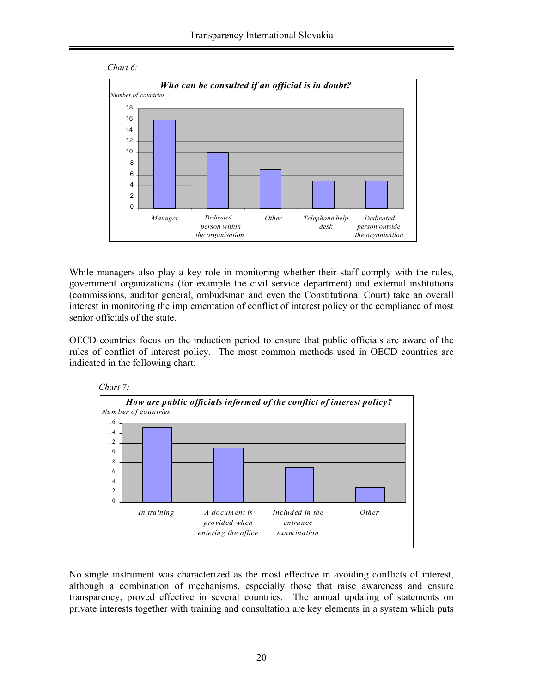



While managers also play a key role in monitoring whether their staff comply with the rules, government organizations (for example the civil service department) and external institutions (commissions, auditor general, ombudsman and even the Constitutional Court) take an overall interest in monitoring the implementation of conflict of interest policy or the compliance of most senior officials of the state.

OECD countries focus on the induction period to ensure that public officials are aware of the rules of conflict of interest policy. The most common methods used in OECD countries are indicated in the following chart:



No single instrument was characterized as the most effective in avoiding conflicts of interest, although a combination of mechanisms, especially those that raise awareness and ensure transparency, proved effective in several countries. The annual updating of statements on private interests together with training and consultation are key elements in a system which puts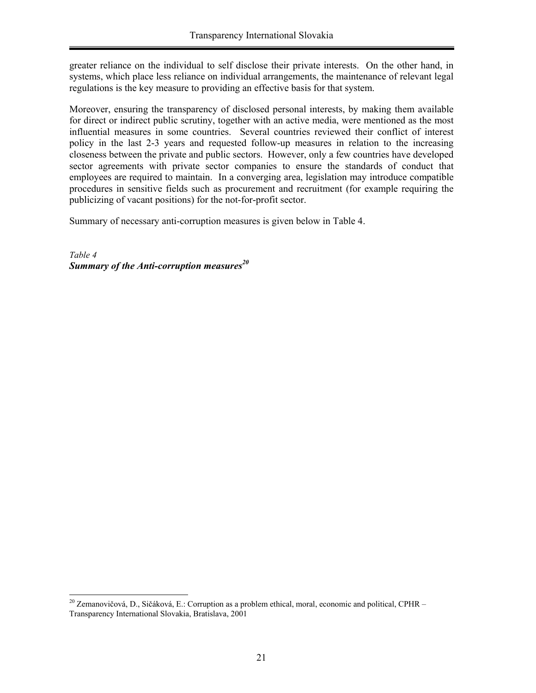greater reliance on the individual to self disclose their private interests. On the other hand, in systems, which place less reliance on individual arrangements, the maintenance of relevant legal regulations is the key measure to providing an effective basis for that system.

Moreover, ensuring the transparency of disclosed personal interests, by making them available for direct or indirect public scrutiny, together with an active media, were mentioned as the most influential measures in some countries. Several countries reviewed their conflict of interest policy in the last 2-3 years and requested follow-up measures in relation to the increasing closeness between the private and public sectors. However, only a few countries have developed sector agreements with private sector companies to ensure the standards of conduct that employees are required to maintain. In a converging area, legislation may introduce compatible procedures in sensitive fields such as procurement and recruitment (for example requiring the publicizing of vacant positions) for the not-for-profit sector.

Summary of necessary anti-corruption measures is given below in Table 4.

*Table 4 Summary of the Anti-corruption measures*<sup>20</sup>

 $\overline{a}$ 

<sup>&</sup>lt;sup>20</sup> Zemanovičová, D., Sičáková, E.: Corruption as a problem ethical, moral, economic and political, CPHR – Transparency International Slovakia, Bratislava, 2001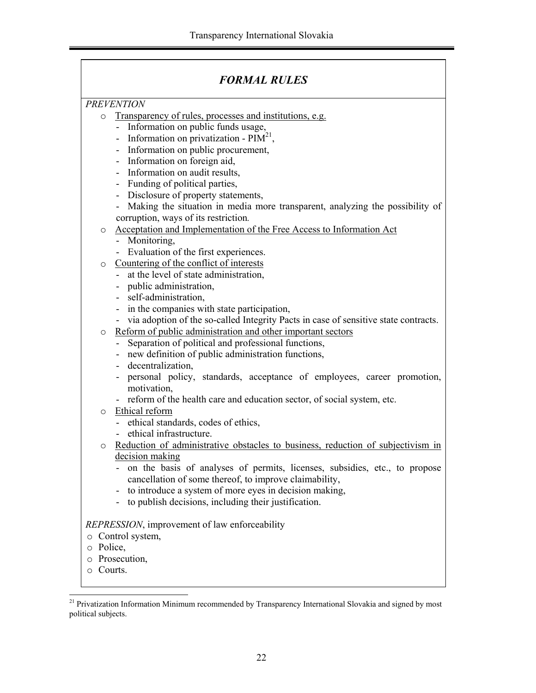|                         | <b>FORMAL RULES</b>                                                                                                                                                                                                                                                                                                                                                                                                                                                                                                                                                                          |  |
|-------------------------|----------------------------------------------------------------------------------------------------------------------------------------------------------------------------------------------------------------------------------------------------------------------------------------------------------------------------------------------------------------------------------------------------------------------------------------------------------------------------------------------------------------------------------------------------------------------------------------------|--|
|                         | <b>PREVENTION</b>                                                                                                                                                                                                                                                                                                                                                                                                                                                                                                                                                                            |  |
| $\circ$                 | Transparency of rules, processes and institutions, e.g.                                                                                                                                                                                                                                                                                                                                                                                                                                                                                                                                      |  |
|                         | - Information on public funds usage,                                                                                                                                                                                                                                                                                                                                                                                                                                                                                                                                                         |  |
|                         | - Information on privatization - $PIM21$ ,                                                                                                                                                                                                                                                                                                                                                                                                                                                                                                                                                   |  |
|                         | - Information on public procurement,                                                                                                                                                                                                                                                                                                                                                                                                                                                                                                                                                         |  |
|                         | - Information on foreign aid,                                                                                                                                                                                                                                                                                                                                                                                                                                                                                                                                                                |  |
|                         | Information on audit results,<br>$\blacksquare$                                                                                                                                                                                                                                                                                                                                                                                                                                                                                                                                              |  |
|                         | - Funding of political parties,                                                                                                                                                                                                                                                                                                                                                                                                                                                                                                                                                              |  |
|                         | - Disclosure of property statements,                                                                                                                                                                                                                                                                                                                                                                                                                                                                                                                                                         |  |
|                         | - Making the situation in media more transparent, analyzing the possibility of                                                                                                                                                                                                                                                                                                                                                                                                                                                                                                               |  |
|                         | corruption, ways of its restriction.                                                                                                                                                                                                                                                                                                                                                                                                                                                                                                                                                         |  |
| $\circ$                 | Acceptation and Implementation of the Free Access to Information Act                                                                                                                                                                                                                                                                                                                                                                                                                                                                                                                         |  |
|                         | - Monitoring,                                                                                                                                                                                                                                                                                                                                                                                                                                                                                                                                                                                |  |
|                         | - Evaluation of the first experiences.                                                                                                                                                                                                                                                                                                                                                                                                                                                                                                                                                       |  |
| $\circ$                 | Countering of the conflict of interests                                                                                                                                                                                                                                                                                                                                                                                                                                                                                                                                                      |  |
|                         | - at the level of state administration,                                                                                                                                                                                                                                                                                                                                                                                                                                                                                                                                                      |  |
|                         | - public administration,                                                                                                                                                                                                                                                                                                                                                                                                                                                                                                                                                                     |  |
|                         | - self-administration,                                                                                                                                                                                                                                                                                                                                                                                                                                                                                                                                                                       |  |
|                         | - in the companies with state participation,                                                                                                                                                                                                                                                                                                                                                                                                                                                                                                                                                 |  |
|                         | via adoption of the so-called Integrity Pacts in case of sensitive state contracts.<br>$\sim$                                                                                                                                                                                                                                                                                                                                                                                                                                                                                                |  |
| $\circ$                 | Reform of public administration and other important sectors                                                                                                                                                                                                                                                                                                                                                                                                                                                                                                                                  |  |
|                         | Separation of political and professional functions,                                                                                                                                                                                                                                                                                                                                                                                                                                                                                                                                          |  |
|                         | new definition of public administration functions,                                                                                                                                                                                                                                                                                                                                                                                                                                                                                                                                           |  |
|                         | decentralization,                                                                                                                                                                                                                                                                                                                                                                                                                                                                                                                                                                            |  |
|                         | personal policy, standards, acceptance of employees, career promotion,                                                                                                                                                                                                                                                                                                                                                                                                                                                                                                                       |  |
|                         |                                                                                                                                                                                                                                                                                                                                                                                                                                                                                                                                                                                              |  |
|                         |                                                                                                                                                                                                                                                                                                                                                                                                                                                                                                                                                                                              |  |
|                         |                                                                                                                                                                                                                                                                                                                                                                                                                                                                                                                                                                                              |  |
|                         |                                                                                                                                                                                                                                                                                                                                                                                                                                                                                                                                                                                              |  |
|                         |                                                                                                                                                                                                                                                                                                                                                                                                                                                                                                                                                                                              |  |
|                         |                                                                                                                                                                                                                                                                                                                                                                                                                                                                                                                                                                                              |  |
|                         |                                                                                                                                                                                                                                                                                                                                                                                                                                                                                                                                                                                              |  |
|                         |                                                                                                                                                                                                                                                                                                                                                                                                                                                                                                                                                                                              |  |
|                         |                                                                                                                                                                                                                                                                                                                                                                                                                                                                                                                                                                                              |  |
|                         |                                                                                                                                                                                                                                                                                                                                                                                                                                                                                                                                                                                              |  |
|                         |                                                                                                                                                                                                                                                                                                                                                                                                                                                                                                                                                                                              |  |
|                         |                                                                                                                                                                                                                                                                                                                                                                                                                                                                                                                                                                                              |  |
| Control system,         |                                                                                                                                                                                                                                                                                                                                                                                                                                                                                                                                                                                              |  |
| o Police,               |                                                                                                                                                                                                                                                                                                                                                                                                                                                                                                                                                                                              |  |
| O                       | Prosecution,                                                                                                                                                                                                                                                                                                                                                                                                                                                                                                                                                                                 |  |
| Courts.<br>O            |                                                                                                                                                                                                                                                                                                                                                                                                                                                                                                                                                                                              |  |
| $\circ$<br>O<br>$\circ$ | motivation,<br>reform of the health care and education sector, of social system, etc.<br>Ethical reform<br>- ethical standards, codes of ethics,<br>ethical infrastructure.<br>Reduction of administrative obstacles to business, reduction of subjectivism in<br>decision making<br>on the basis of analyses of permits, licenses, subsidies, etc., to propose<br>cancellation of some thereof, to improve claimability,<br>to introduce a system of more eyes in decision making,<br>to publish decisions, including their justification.<br>REPRESSION, improvement of law enforceability |  |

 $\overline{a}$ <sup>21</sup> Privatization Information Minimum recommended by Transparency International Slovakia and signed by most political subjects.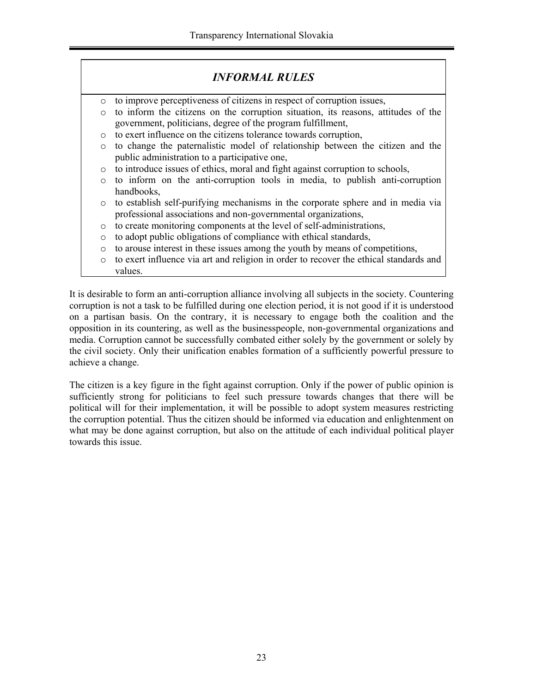|         | <b>INFORMAL RULES</b>                                                                 |
|---------|---------------------------------------------------------------------------------------|
| $\circ$ | to improve perceptiveness of citizens in respect of corruption issues,                |
| $\circ$ | to inform the citizens on the corruption situation, its reasons, attitudes of the     |
|         | government, politicians, degree of the program fulfillment,                           |
| $\circ$ | to exert influence on the citizens tolerance towards corruption,                      |
| $\circ$ | to change the paternalistic model of relationship between the citizen and the         |
|         | public administration to a participative one,                                         |
| $\circ$ | to introduce issues of ethics, moral and fight against corruption to schools,         |
| $\circ$ | to inform on the anti-corruption tools in media, to publish anti-corruption           |
|         | handbooks,                                                                            |
| $\circ$ | to establish self-purifying mechanisms in the corporate sphere and in media via       |
|         | professional associations and non-governmental organizations,                         |
| $\circ$ | to create monitoring components at the level of self-administrations,                 |
| $\circ$ | to adopt public obligations of compliance with ethical standards,                     |
| $\circ$ | to arouse interest in these issues among the youth by means of competitions,          |
| $\circ$ | to exert influence via art and religion in order to recover the ethical standards and |
|         | values.                                                                               |

It is desirable to form an anti-corruption alliance involving all subjects in the society. Countering corruption is not a task to be fulfilled during one election period, it is not good if it is understood on a partisan basis. On the contrary, it is necessary to engage both the coalition and the opposition in its countering, as well as the businesspeople, non-governmental organizations and media. Corruption cannot be successfully combated either solely by the government or solely by the civil society. Only their unification enables formation of a sufficiently powerful pressure to achieve a change.

The citizen is a key figure in the fight against corruption. Only if the power of public opinion is sufficiently strong for politicians to feel such pressure towards changes that there will be political will for their implementation, it will be possible to adopt system measures restricting the corruption potential. Thus the citizen should be informed via education and enlightenment on what may be done against corruption, but also on the attitude of each individual political player towards this issue.